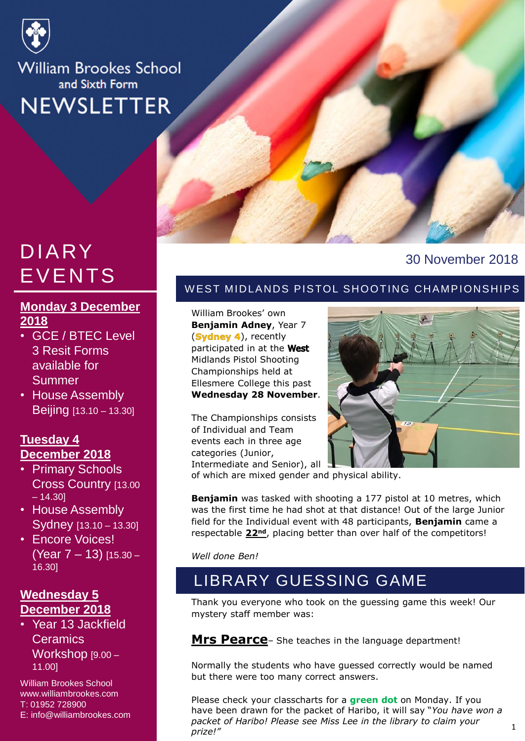

**William Brookes School** and Sixth Form **NEWSLETTER** 

## DIARY EVENTS

#### **Monday 3 December 2018**

- GCE / BTEC Level 3 Resit Forms available for **Summer**
- House Assembly Beijing [13.10 – 13.30]

#### **Tuesday 4 December 2018**

- Primary Schools Cross Country [13.00  $-14.301$
- House Assembly Sydney [13.10 – 13.30]
- Encore Voices! (Year 7 – 13) [15.30 – 16.30]

#### **Wednesday 5 December 2018**

• Year 13 Jackfield **Ceramics** Workshop [9.00 – 11.00]

William Brookes School www.williambrookes.com T: 01952 728900 E: info@williambrookes.com



#### 30 November 2018

#### W EST MIDLANDS PISTOL SHOOTING CHAMPIONSHIPS

William Brookes' own **Benjamin Adney**, Year 7  $(Sy$ dney 4), recently participated in at the West Midlands Pistol Shooting Championships held at Ellesmere College this past **Wednesday 28 November**.

The Championships consists of Individual and Team events each in three age categories (Junior, Intermediate and Senior), all



of which are mixed gender and physical ability.

**Benjamin** was tasked with shooting a 177 pistol at 10 metres, which was the first time he had shot at that distance! Out of the large Junior field for the Individual event with 48 participants, **Benjamin** came a respectable **22nd**, placing better than over half of the competitors!

*Well done Ben!*

## LIBRARY GUESSING GAME

Thank you everyone who took on the guessing game this week! Our mystery staff member was:

**Mrs Pearce**– She teaches in the language department!

Normally the students who have guessed correctly would be named but there were too many correct answers.

Please check your classcharts for a **green dot** on Monday. If you have been drawn for the packet of Haribo, it will say "*You have won a packet of Haribo! Please see Miss Lee in the library to claim your prize!"*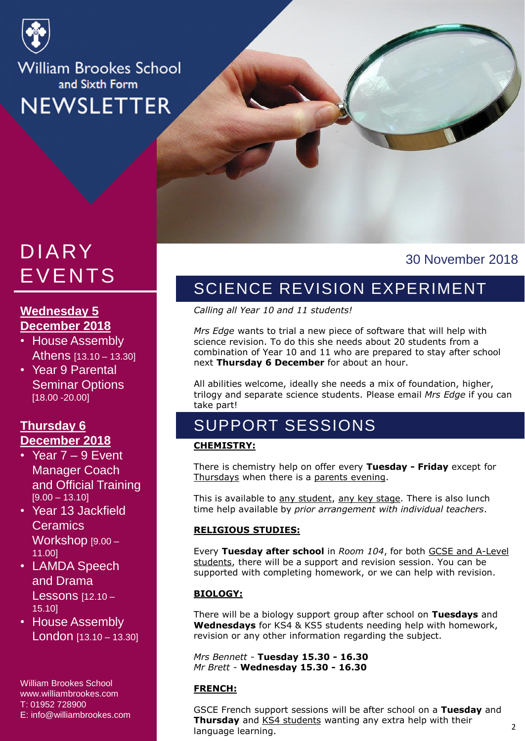

## **William Brookes School** and Sixth Form **NEWSLETTER**

## EVENTS DIARY

## **Wednesday 5 December 2018**

- Athens [13.10 13.30] • House Assembly
- Year 9 Parental weblink [18.00 -20.00] Seminar Options

#### **Thursday 6 December 2018**

- Year  $7 9$  Event Manager Coach and Official Training  $[9.00 - 13.10]$
- Year 13 Jackfield **Ceramics** Workshop [9.00 – 11.00]
- LAMDA Speech and Drama Lessons [12.10 – 15.10]
- House Assembly London [13.10 – 13.30]

William Brookes School www.williambrookes.com T: 01952 728900 E: info@williambrookes.com

#### 30 November 2018

N

## SCIENCE REVISION EXPERIMENT

*Calling all Year 10 and 11 students!*

*Mrs Edge* wants to trial a new piece of software that will help with science revision. To do this she needs about 20 students from a combination of Year 10 and 11 who are prepared to stay after school next **Thursday 6 December** for about an hour.

All abilities welcome, ideally she needs a mix of foundation, higher, trilogy and separate science students. Please email *Mrs Edge* if you can take part!

## SUPPORT SESSIONS

#### **CHEMISTRY:**

There is chemistry help on offer every **Tuesday - Friday** except for Thursdays when there is a parents evening.

This is available to any student, any key stage. There is also lunch time help available by *prior arrangement with individual teachers*.

#### **RELIGIOUS STUDIES:**

Every **Tuesday after school** in *Room 104*, for both GCSE and A-Level students, there will be a support and revision session. You can be supported with completing homework, or we can help with revision.

#### **BIOLOGY:**

There will be a biology support group after school on **Tuesdays** and **Wednesdays** for KS4 & KS5 students needing help with homework, revision or any other information regarding the subject.

*Mrs Bennett* - **Tuesday 15.30 - 16.30** *Mr Brett* - **Wednesday 15.30 - 16.30**

#### **FRENCH:**

GSCE French support sessions will be after school on a **Tuesday** and **Thursday** and KS4 students wanting any extra help with their language learning.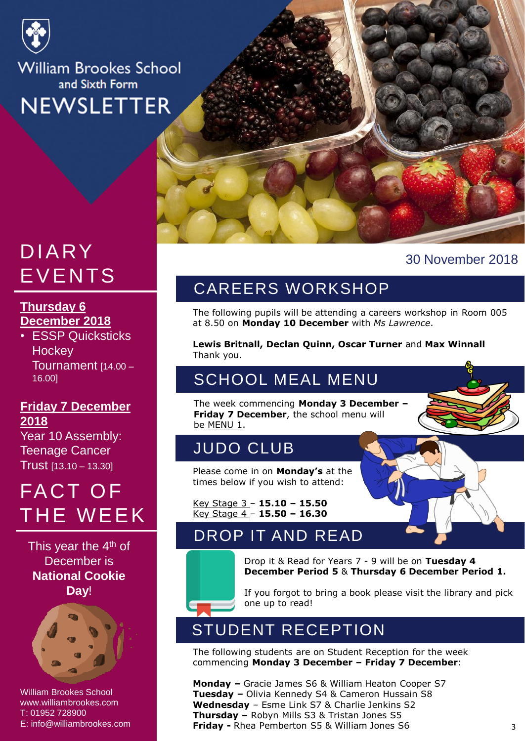

**William Brookes School** and Sixth Form **NEWSLETTER** 

## EVENTS DIARY

#### <u>Thursday 6</u> **December 2018**

**December 2018**<br>• ESSP Quicksticks HOCKEY<br>Tournomeent in m Date 16.00] **Hockey** Tournament [14.00 –

#### weblink **Friday 7 December 2018**

Year 10 Assembly: Teenage Cancer Trust [13.10 – 13.30]

## FACT OF THE WEEK

This year the 4<sup>th</sup> of December is **National Cookie Day**!



William Brookes School T: 01952 728900 www.williambrookes.com  $\mathsf{T:}\ 01952\ 728900$ E: info@williambrookes.com



#### 30 November 2018

## CAREERS WORKSHOP

The following pupils will be attending a careers workshop in Room 005 at 8.50 on **Monday 10 December** with *Ms Lawrence*.

**Lewis Britnall, Declan Quinn, Oscar Turner** and **Max Winnall** Thank you.

## SCHOOL MEAL MENU

The week commencing **Monday 3 December – Friday 7 December**, the school menu will be MENU 1.

### JUDO CLUB

Please come in on **Monday's** at the times below if you wish to attend:

Key Stage 3 – **15.10 – 15.50** Key Stage 4 – **15.50 – 16.30**

## DROP IT AND READ



Drop it & Read for Years 7 - 9 will be on **Tuesday 4 December Period 5** & **Thursday 6 December Period 1.**

If you forgot to bring a book please visit the library and pick one up to read!

## STUDENT RECEPTION

The following students are on Student Reception for the week commencing **Monday 3 December – Friday 7 December**:

**Monday –** Gracie James S6 & William Heaton Cooper S7 **Tuesday –** Olivia Kennedy S4 & Cameron Hussain S8 **Wednesday** – Esme Link S7 & Charlie Jenkins S2 **Thursday –** Robyn Mills S3 & Tristan Jones S5 **Friday -** Rhea Pemberton S5 & William Jones S6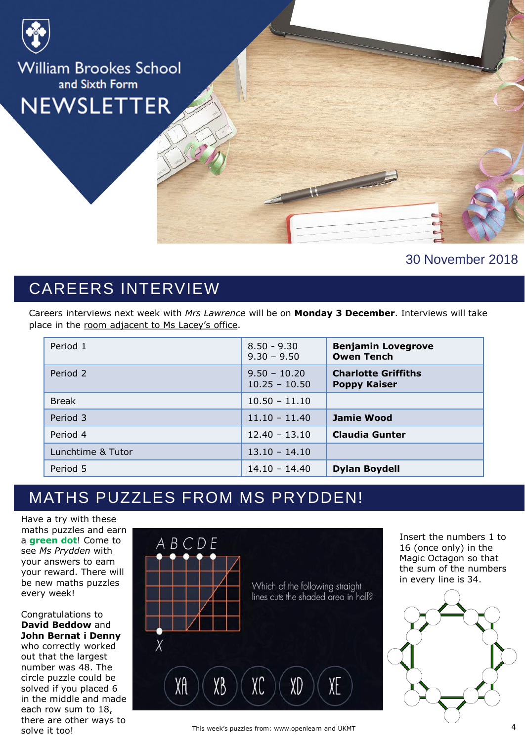

#### 30 November 2018

## CAREERS INTERVIEW

Careers interviews next week with *Mrs Lawrence* will be on **Monday 3 December**. Interviews will take place in the room adjacent to Ms Lacey's office.

| Period 1          | $8.50 - 9.30$<br>$9.30 - 9.50$    | <b>Benjamin Lovegrove</b><br><b>Owen Tench</b>    |
|-------------------|-----------------------------------|---------------------------------------------------|
| Period 2          | $9.50 - 10.20$<br>$10.25 - 10.50$ | <b>Charlotte Griffiths</b><br><b>Poppy Kaiser</b> |
| <b>Break</b>      | $10.50 - 11.10$                   |                                                   |
| Period 3          | $11.10 - 11.40$                   | <b>Jamie Wood</b>                                 |
| Period 4          | $12.40 - 13.10$                   | <b>Claudia Gunter</b>                             |
| Lunchtime & Tutor | $13.10 - 14.10$                   |                                                   |
| Period 5          | $14.10 - 14.40$                   | <b>Dylan Boydell</b>                              |

## MATHS PUZZLES FROM MS PRYDDEN!

Have a try with these maths puzzles and earn a **green dot**! Come to see *Ms Prydden* with your answers to earn your reward. There will be new maths puzzles every week!

Congratulations to **David Beddow** and **John Bernat i Denny**  who correctly worked out that the largest number was 48. The circle puzzle could be solved if you placed 6 in the middle and made each row sum to 18, there are other ways to solve it too!



This week's puzzles from: www.openlearn and UKMT

Insert the numbers 1 to 16 (once only) in the Magic Octagon so that the sum of the numbers in every line is 34.

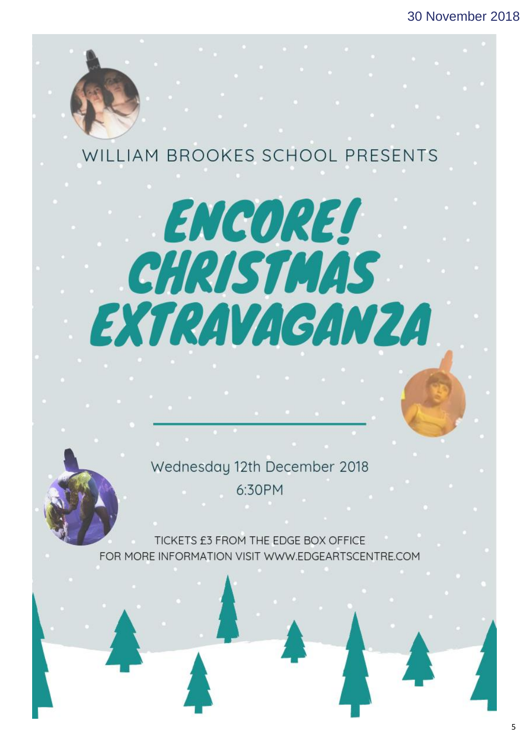## WILLIAM BROOKES SCHOOL PRESENTS

# **ENCORE!** CHRISTMAS EXTRAVAGANZA

Wednesday 12th December 2018 6:30PM

TICKETS £3 FROM THE EDGE BOX OFFICE FOR MORE INFORMATION VISIT WWW.EDGEARTSCENTRE.COM

STORY HEADER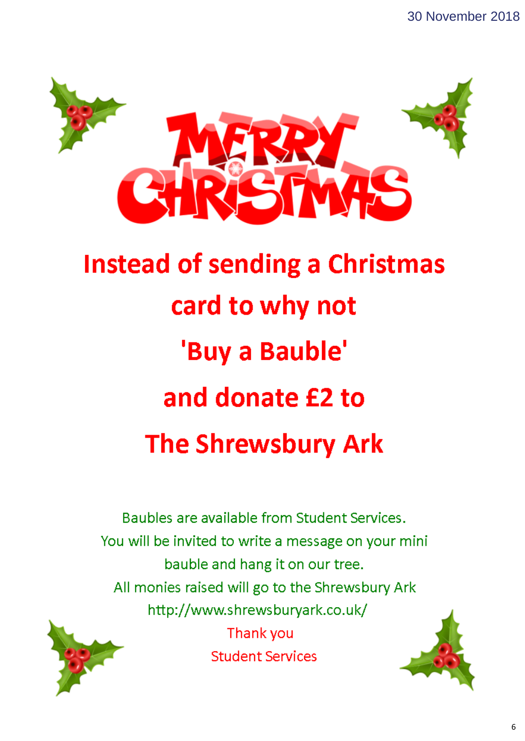

## **Instead of sending a Christmas** card to why not 'Buy a Bauble' and donate £2 to **The Shrewsbury Ark**

Baubles are available from Student Services. You will be invited to write a message on your mini bauble and hang it on our tree. All monies raised will go to the Shrewsbury Ark http://www.shrewsburyark.co.uk/ Thank you

**Student Services**